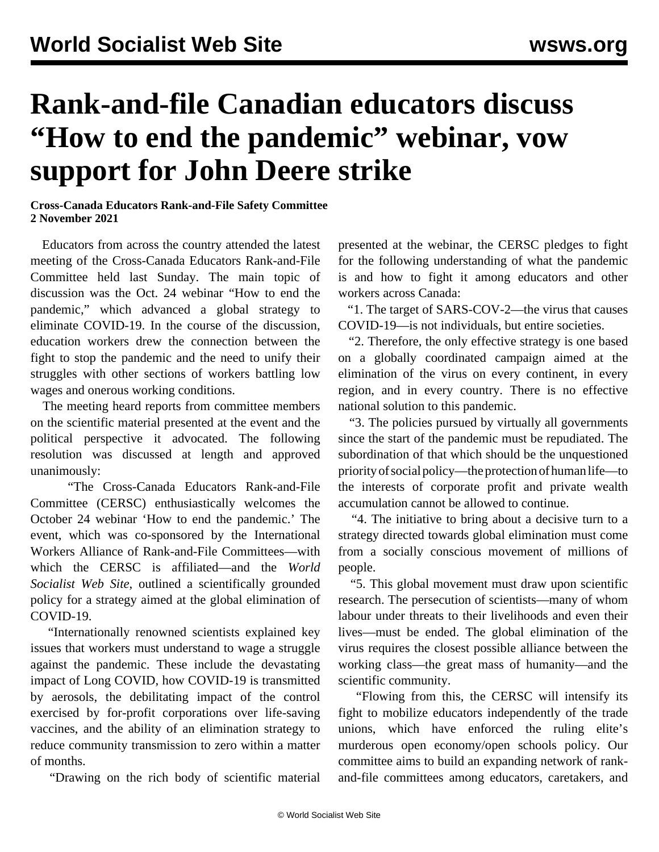## **Rank-and-file Canadian educators discuss "How to end the pandemic" webinar, vow support for John Deere strike**

## **Cross-Canada Educators Rank-and-File Safety Committee 2 November 2021**

 Educators from across the country attended the latest meeting of the Cross-Canada Educators Rank-and-File Committee held last Sunday. The main topic of discussion was the Oct. 24 webinar "How to end the pandemic," which advanced a global strategy to eliminate COVID-19. In the course of the discussion, education workers drew the connection between the fight to stop the pandemic and the need to unify their struggles with other sections of workers battling low wages and onerous working conditions.

 The meeting heard reports from committee members on the scientific material presented at the event and the political perspective it advocated. The following resolution was discussed at length and approved unanimously:

 "The Cross-Canada Educators Rank-and-File Committee (CERSC) enthusiastically welcomes the October 24 webinar 'How to end the pandemic.' The event, which was co-sponsored by the International Workers Alliance of Rank-and-File Committees—with which the CERSC is affiliated—and the *World Socialist Web Site*, outlined a scientifically grounded policy for a strategy aimed at the global elimination of COVID-19.

 "Internationally renowned scientists explained key issues that workers must understand to wage a struggle against the pandemic. These include the devastating impact of Long COVID, how COVID-19 is transmitted by aerosols, the debilitating impact of the control exercised by for-profit corporations over life-saving vaccines, and the ability of an elimination strategy to reduce community transmission to zero within a matter of months.

"Drawing on the rich body of scientific material

presented at the webinar, the CERSC pledges to fight for the following understanding of what the pandemic is and how to fight it among educators and other workers across Canada:

 "1. The target of SARS-COV-2—the virus that causes COVID-19—is not individuals, but entire societies.

 "2. Therefore, the only effective strategy is one based on a globally coordinated campaign aimed at the elimination of the virus on every continent, in every region, and in every country. There is no effective national solution to this pandemic.

 "3. The policies pursued by virtually all governments since the start of the pandemic must be repudiated. The subordination of that which should be the unquestioned priority of social policy—the protection of human life—to the interests of corporate profit and private wealth accumulation cannot be allowed to continue.

 "4. The initiative to bring about a decisive turn to a strategy directed towards global elimination must come from a socially conscious movement of millions of people.

 "5. This global movement must draw upon scientific research. The persecution of scientists—many of whom labour under threats to their livelihoods and even their lives—must be ended. The global elimination of the virus requires the closest possible alliance between the working class—the great mass of humanity—and the scientific community.

 "Flowing from this, the CERSC will intensify its fight to mobilize educators independently of the trade unions, which have enforced the ruling elite's murderous open economy/open schools policy. Our committee aims to build an expanding network of rankand-file committees among educators, caretakers, and